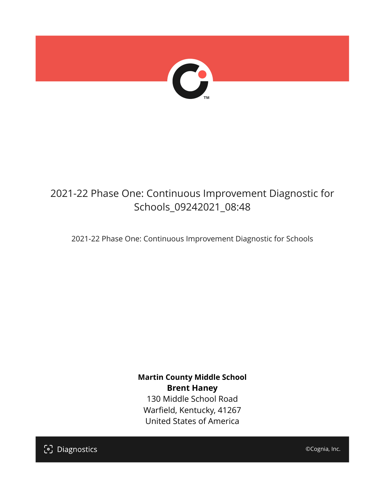

# 2021-22 Phase One: Continuous Improvement Diagnostic for Schools\_09242021\_08:48

2021-22 Phase One: Continuous Improvement Diagnostic for Schools

**Martin County Middle School Brent Haney** 130 Middle School Road Warfield, Kentucky, 41267 United States of America

[၁] Diagnostics

©Cognia, Inc.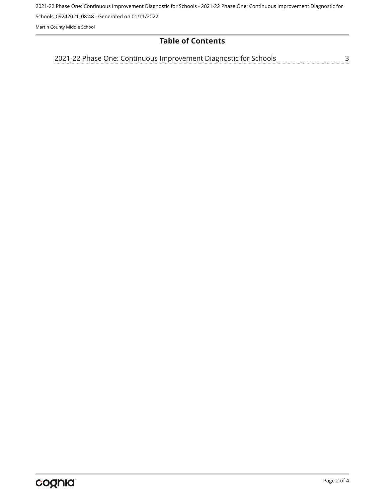2021-22 Phase One: Continuous Improvement Diagnostic for Schools - 2021-22 Phase One: Continuous Improvement Diagnostic for

Schools\_09242021\_08:48 - Generated on 01/11/2022

Martin County Middle School

# **Table of Contents**

[2021-22 Phase One: Continuous Improvement Diagnostic for Schools](#page-2-0)[3](#page-2-0)<br>...........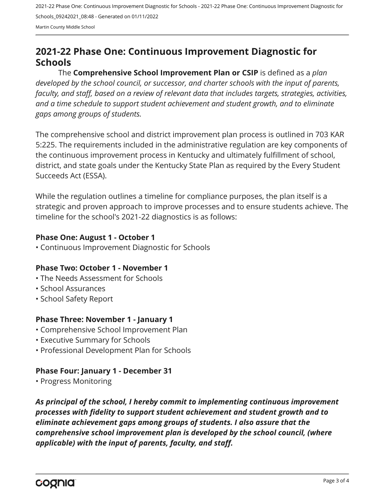2021-22 Phase One: Continuous Improvement Diagnostic for Schools - 2021-22 Phase One: Continuous Improvement Diagnostic for Schools\_09242021\_08:48 - Generated on 01/11/2022 Martin County Middle School

# <span id="page-2-0"></span>**2021-22 Phase One: Continuous Improvement Diagnostic for Schools**

The **Comprehensive School Improvement Plan or CSIP** is defined as a *plan developed by the school council, or successor, and charter schools with the input of parents, faculty, and staff, based on a review of relevant data that includes targets, strategies, activities, and a time schedule to support student achievement and student growth, and to eliminate gaps among groups of students.*

The comprehensive school and district improvement plan process is outlined in 703 KAR 5:225. The requirements included in the administrative regulation are key components of the continuous improvement process in Kentucky and ultimately fulfillment of school, district, and state goals under the Kentucky State Plan as required by the Every Student Succeeds Act (ESSA).

While the regulation outlines a timeline for compliance purposes, the plan itself is a strategic and proven approach to improve processes and to ensure students achieve. The timeline for the school's 2021-22 diagnostics is as follows:

#### **Phase One: August 1 - October 1**

• Continuous Improvement Diagnostic for Schools

# **Phase Two: October 1 - November 1**

- The Needs Assessment for Schools
- School Assurances
- School Safety Report

# **Phase Three: November 1 - January 1**

- Comprehensive School Improvement Plan
- Executive Summary for Schools
- Professional Development Plan for Schools

# **Phase Four: January 1 - December 31**

• Progress Monitoring

*As principal of the school, I hereby commit to implementing continuous improvement processes with fidelity to support student achievement and student growth and to eliminate achievement gaps among groups of students. I also assure that the comprehensive school improvement plan is developed by the school council, (where applicable) with the input of parents, faculty, and staff.*